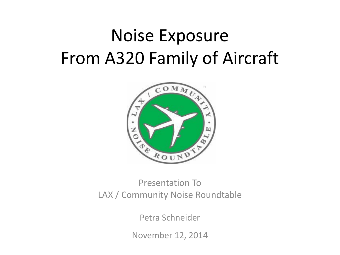# Noise Exposure From A320 Family of Aircraft



### Presentation To LAX / Community Noise Roundtable

Petra Schneider

November 12, 2014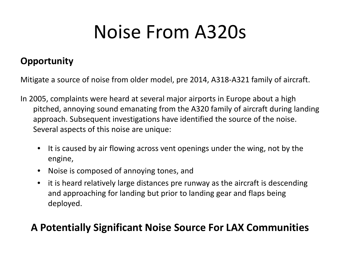# Noise From A320s

### **Opportunity**

Mitigate a source of noise from older model, pre 2014, A318-A321 family of aircraft.

- In 2005, complaints were heard at several major airports in Europe about a high pitched, annoying sound emanating from the A320 family of aircraft during landing approach. Subsequent investigations have identified the source of the noise. Several aspects of this noise are unique:
	- It is caused by air flowing across vent openings under the wing, not by the engine,
	- Noise is composed of annoying tones, and
	- it is heard relatively large distances pre runway as the aircraft is descending and approaching for landing but prior to landing gear and flaps being deployed.

### **A Potentially Significant Noise Source For LAX Communities**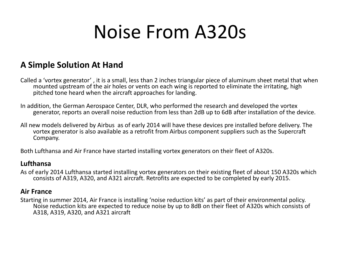# Noise From A320s

### **A Simple Solution At Hand**

Called a 'vortex generator' , it is a small, less than 2 inches triangular piece of aluminum sheet metal that when mounted upstream of the air holes or vents on each wing is reported to eliminate the irritating, high pitched tone heard when the aircraft approaches for landing.

In addition, the German Aerospace Center, DLR, who performed the research and developed the vortex generator, reports an overall noise reduction from less than 2dB up to 6dB after installation of the device.

All new models delivered by Airbus as of early 2014 will have these devices pre installed before delivery. The vortex generator is also available as a retrofit from Airbus component suppliers such as the Supercraft Company.

Both Lufthansa and Air France have started installing vortex generators on their fleet of A320s.

#### **Lufthansa**

As of early 2014 Lufthansa started installing vortex generators on their existing fleet of about 150 A320s which consists of A319, A320, and A321 aircraft. Retrofits are expected to be completed by early 2015.

#### **Air France**

Starting in summer 2014, Air France is installing 'noise reduction kits' as part of their environmental policy. Noise reduction kits are expected to reduce noise by up to 8dB on their fleet of A320s which consists of A318, A319, A320, and A321 aircraft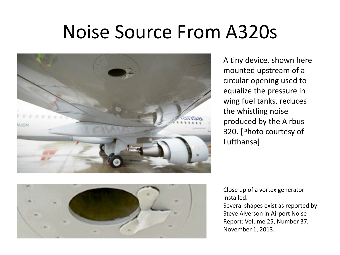# Noise Source From A320s



A tiny device, shown here mounted upstream of a circular opening used to equalize the pressure in wing fuel tanks, reduces the whistling noise produced by the Airbus 320. [Photo courtesy of Lufthansa]



Close up of a vortex generator installed.

Several shapes exist as reported by Steve Alverson in Airport Noise Report: Volume 25, Number 37, November 1, 2013.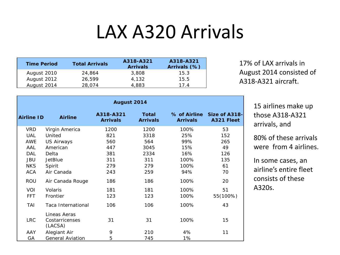# LAX A320 Arrivals

| <b>Time Period</b> | <b>Total Arrivals</b> | A318-A321<br><b>Arrivals</b> | A318-A321<br>Arrivals (%) |
|--------------------|-----------------------|------------------------------|---------------------------|
| August 2010        | 24.864                | 3,808                        | 15.3                      |
| August 2012        | 26.599                | 4.132                        | 15.5                      |
| August 2014        | 28,074                | 4,883                        | 17 4                      |

17% of LAX arrivals in August 2014 consisted of A318-A321 aircraft.

| August 2014       |                           |                              |                                 |                 |                                          |  |  |
|-------------------|---------------------------|------------------------------|---------------------------------|-----------------|------------------------------------------|--|--|
| <b>Airline ID</b> | <b>Airline</b>            | A318-A321<br><b>Arrivals</b> | <b>Total</b><br><b>Arrivals</b> | <b>Arrivals</b> | % of Airline Size of A318-<br>A321 Fleet |  |  |
| <b>VRD</b>        | Virgin America            | 1200                         | 1200                            | 100%            | 53                                       |  |  |
| <b>UAL</b>        | United                    | 821                          | 3318                            | 25%             | 152                                      |  |  |
| <b>AWE</b>        | <b>US Airways</b>         | 560                          | 564                             | 99%             | 265                                      |  |  |
| AAL               | American                  | 447                          | 3045                            | 15%             | 49                                       |  |  |
| DAL               | Delta                     | 381                          | 2334                            | 16%             | 126                                      |  |  |
| <b>JBU</b>        | <b>JetBlue</b>            | 311                          | 311                             | 100%            | 135                                      |  |  |
| <b>NKS</b>        | Spirit                    | 279                          | 279                             | 100%            | 61                                       |  |  |
| <b>ACA</b>        | Air Canada                | 243                          | 259                             | 94%             | 70                                       |  |  |
| ROU               | Air Canada Rouge          | 186                          | 186                             | 100%            | 20                                       |  |  |
| VOI               | Volaris                   | 181                          | 181                             | 100%            | 51                                       |  |  |
| <b>FFT</b>        | Frontier                  | 123                          | 123                             | 100%            | 55(100%)                                 |  |  |
| TAI               | Taca International        | 106                          | 106                             | 100%            | 43                                       |  |  |
|                   | Lineas Aeras              |                              |                                 |                 |                                          |  |  |
| <b>LRC</b>        | Costarricenses<br>(LACSA) | 31                           | 31                              | 100%            | 15                                       |  |  |
| AAY               | Alegiant Air              | 9                            | 210                             | 4%              | 11                                       |  |  |
| GA                | <b>General Aviation</b>   | 5                            | 745                             | 1%              |                                          |  |  |

15 airlines make up those A318-A321 arrivals, and

80% of these arrivals were from 4 airlines.

In some cases, an airline's entire fleet consists of these A320s.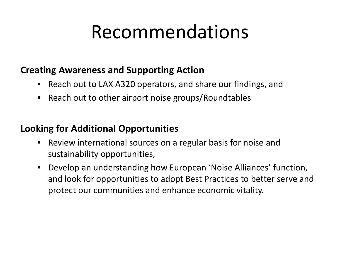# Recommendations

### **Creating Awareness and Supporting Action**

- Reach out to LAX A320 operators, and share our findings, and
- Reach out to other airport noise groups/Roundtables

### **Looking for Additional Opportunities**

- Review international sources on a regular basis for noise and sustainability opportunities,
- Develop an understanding how European 'Noise Alliances' function, and look for opportunities to adopt Best Practices to better serve and protect our communities and enhance economic vitality.